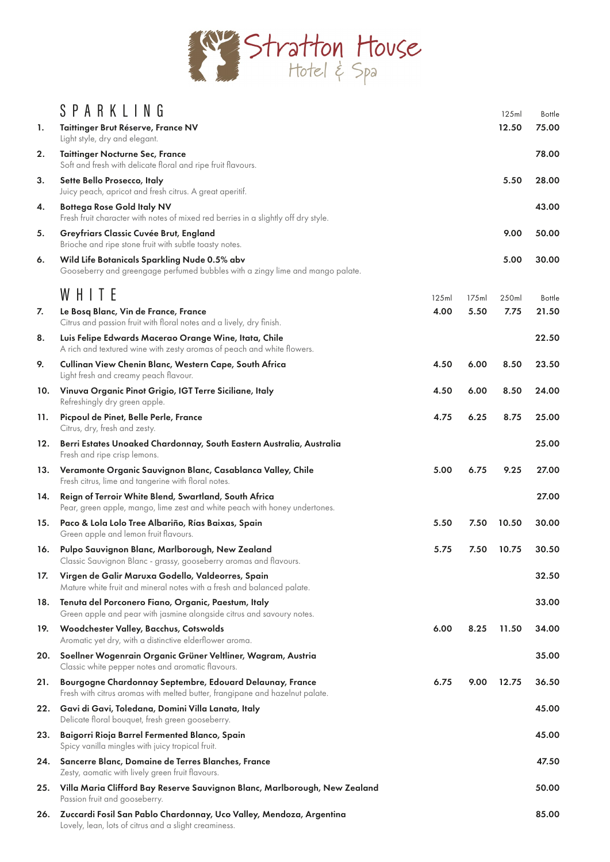

|     | SPARKLING                                                                                                                                |       |       | 125ml | <b>Bottle</b> |
|-----|------------------------------------------------------------------------------------------------------------------------------------------|-------|-------|-------|---------------|
| 1.  | Taittinger Brut Réserve, France NV<br>Light style, dry and elegant.                                                                      |       |       | 12.50 | 75.00         |
| 2.  | <b>Taittinger Nocturne Sec, France</b><br>Soft and fresh with delicate floral and ripe fruit flavours.                                   |       |       |       | 78.00         |
| 3.  | Sette Bello Prosecco, Italy<br>Juicy peach, apricot and fresh citrus. A great aperitif.                                                  |       |       | 5.50  | 28.00         |
| 4.  | <b>Bottega Rose Gold Italy NV</b><br>Fresh fruit character with notes of mixed red berries in a slightly off dry style.                  |       |       |       | 43.00         |
| 5.  | Greyfriars Classic Cuvée Brut, England<br>Brioche and ripe stone fruit with subtle toasty notes.                                         |       |       | 9.00  | 50.00         |
| 6.  | Wild Life Botanicals Sparkling Nude 0.5% abv<br>Gooseberry and greengage perfumed bubbles with a zingy lime and mango palate.            |       |       | 5.00  | 30.00         |
|     | WHITE                                                                                                                                    | 125ml | 175ml | 250ml | <b>Bottle</b> |
| 7.  | Le Bosq Blanc, Vin de France, France                                                                                                     | 4.00  | 5.50  | 7.75  | 21.50         |
|     | Citrus and passion fruit with floral notes and a lively, dry finish.                                                                     |       |       |       |               |
| 8.  | Luis Felipe Edwards Macerao Orange Wine, Itata, Chile<br>A rich and textured wine with zesty aromas of peach and white flowers.          |       |       |       | 22.50         |
| 9.  | Cullinan View Chenin Blanc, Western Cape, South Africa<br>Light fresh and creamy peach flavour.                                          | 4.50  | 6.00  | 8.50  | 23.50         |
| 10. | Vinuva Organic Pinot Grigio, IGT Terre Siciliane, Italy<br>Refreshingly dry green apple.                                                 | 4.50  | 6.00  | 8.50  | 24.00         |
| 11. | Picpoul de Pinet, Belle Perle, France<br>Citrus, dry, fresh and zesty.                                                                   | 4.75  | 6.25  | 8.75  | 25.00         |
| 12. | Berri Estates Unoaked Chardonnay, South Eastern Australia, Australia<br>Fresh and ripe crisp lemons.                                     |       |       |       | 25.00         |
| 13. | Veramonte Organic Sauvignon Blanc, Casablanca Valley, Chile<br>Fresh citrus, lime and tangerine with floral notes.                       | 5.00  | 6.75  | 9.25  | 27.00         |
| 14. | Reign of Terroir White Blend, Swartland, South Africa<br>Pear, green apple, mango, lime zest and white peach with honey undertones.      |       |       |       | 27.00         |
| 15. | Paco & Lola Lolo Tree Albariño, Rías Baixas, Spain<br>Green apple and lemon fruit flavours.                                              | 5.50  | 7.50  | 10.50 | 30.00         |
| 16. | Pulpo Sauvignon Blanc, Marlborough, New Zealand<br>Classic Sauvignon Blanc - grassy, gooseberry aromas and flavours.                     | 5.75  | 7.50  | 10.75 | 30.50         |
| 17. | Virgen de Galir Maruxa Godello, Valdeorres, Spain<br>Mature white fruit and mineral notes with a fresh and balanced palate.              |       |       |       | 32.50         |
| 18. | Tenuta del Porconero Fiano, Organic, Paestum, Italy<br>Green apple and pear with jasmine alongside citrus and savoury notes.             |       |       |       | 33.00         |
| 19. | Woodchester Valley, Bacchus, Cotswolds<br>Aromatic yet dry, with a distinctive elderflower aroma.                                        | 6.00  | 8.25  | 11.50 | 34.00         |
| 20. | Soellner Wogenrain Organic Grüner Veltliner, Wagram, Austria<br>Classic white pepper notes and aromatic flavours.                        |       |       |       | 35.00         |
| 21. | Bourgogne Chardonnay Septembre, Edouard Delaunay, France<br>Fresh with citrus aromas with melted butter, frangipane and hazelnut palate. | 6.75  | 9.00  | 12.75 | 36.50         |
| 22. | Gavi di Gavi, Toledana, Domini Villa Lanata, Italy<br>Delicate floral bouquet, fresh green gooseberry.                                   |       |       |       | 45.00         |
| 23. | Baigorri Rioja Barrel Fermented Blanco, Spain<br>Spicy vanilla mingles with juicy tropical fruit.                                        |       |       |       | 45.00         |
| 24. | Sancerre Blanc, Domaine de Terres Blanches, France<br>Zesty, aomatic with lively green fruit flavours.                                   |       |       |       | 47.50         |
| 25. | Villa Maria Clifford Bay Reserve Sauvignon Blanc, Marlborough, New Zealand<br>Passion fruit and gooseberry.                              |       |       |       | 50.00         |
| 26. | Zuccardi Fosil San Pablo Chardonnay, Uco Valley, Mendoza, Argentina<br>Lovely, lean, lots of citrus and a slight creaminess.             |       |       |       | 85.00         |